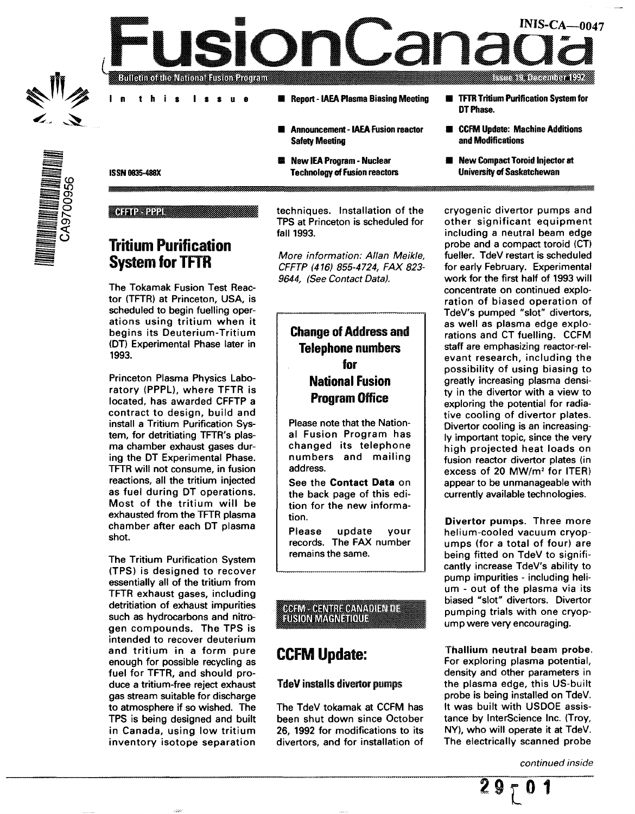**^5 O5 O O**

### **INIS-CA—0047**  $\overline{\phantom{a}}$  $\Box$ **Bulletin of the National Fusion Program The Communication Communication**

n this Issue **Report - IAEA Plasma Biasing Meeting** 

- Announcement- IAEA Fusion reactor Safety Meeting
- **图 New IEA Program Nuclear** Technology of Fusion reactors

ISSN 0835-488X

#### **CHIP PPPI**

### **Tritium Purification System for TFTR**

The Tokamak Fusion Test Reactor (TFTR) at Princeton, USA, is scheduled to begin fuelling operations using tritium when it begins its Deuterium-Tritium (DT) Experimental Phase later in 1993.

Princeton Plasma Physics Laboratory (PPPL), where TFTR is located, has awarded CFFTP a contract to design, build and install a Tritium Purification System, for detritiating TFTR's plasma chamber exhaust gases during the DT Experimental Phase. TFTR will not consume, in fusion reactions, all the tritium injected as fuel during DT operations. Most of the tritium will be exhausted from the TFTR plasma chamber after each DT plasma shot.

The Tritium Purification System (TPS) is designed to recover essentially all of the tritium from TFTR exhaust gases, including detritiation of exhaust impurities such as hydrocarbons and nitrogen compounds. The TPS is intended to recover deuterium and tritium in a form pure enough for possible recycling as fuel for TFTR, and should produce a tritium-free reject exhaust gas stream suitable for discharge to atmosphere if so wished. The TPS is being designed and built in Canada, using low tritium inventory isotope separation

techniques. Installation of the TPS at Princeton is scheduled for fall 1993.

More information: Allan Meikle, CFFTP (416) 855-4724, FAX 823- 9644, (See Contact Data).

### **Change of Address and Telephone numbers for National Fusion Program Office**

Please note that the National Fusion Program has changed its telephone numbers and mailing address.

See the Contact Data on the back page of this edition for the new information.

Please update your records. The FAX number remains the same.

# ESEN MENTREMANNIE III.<br>EUSION MAGNETIOUE

### **CCFM Update:**

#### TdeV installs divertor pumps

The TdeV tokamak at CCFM has been shut down since October 26, 1992 for modifications to its divertors, and for installation of

- **TFTR Tritium Purification System for** DT Phase.
- **E CCFM Update: Machine Additions** and Modifications
- **New Compact Toroid Injector at** University of Saskatchewan

cryogenic divertor pumps and other significant equipment including a neutral beam edge probe and a compact toroid (CT) fueller. TdeV restart is scheduled for early February. Experimental work for the first half of 1993 will concentrate on continued exploration of biased operation of TdeV's pumped "slot" divertors, as well as plasma edge explorations and CT fuelling. CCFM staff are emphasizing reactor-relevant research, including the possibility of using biasing to greatly increasing plasma density in the divertor with a view to exploring the potential for radiative cooling of divertor plates. Divertor cooling is an increasingly important topic, since the very high projected heat loads on fusion reactor divertor plates (in excess of 20 MW/m<sup>2</sup> for ITER) appear to be unmanageable with currently available technologies.

Divertor pumps. Three more helium-cooled vacuum cryopumps (for a total of four) are being fitted on TdeV to significantly increase TdeV's ability to pump impurities - including helium - out of the plasma via its biased "slot" divertors. Divertor pumping trials with one cryopump were very encouraging.

Thallium neutral beam probe. For exploring plasma potential, density and other parameters in the plasma edge, this US-built probe is being installed on TdeV. It was built with USDOE assistance by InterScience Inc. (Troy, NY), who will operate it at TdeV. The electrically scanned probe

**!"9' j- 0 1**

continued inside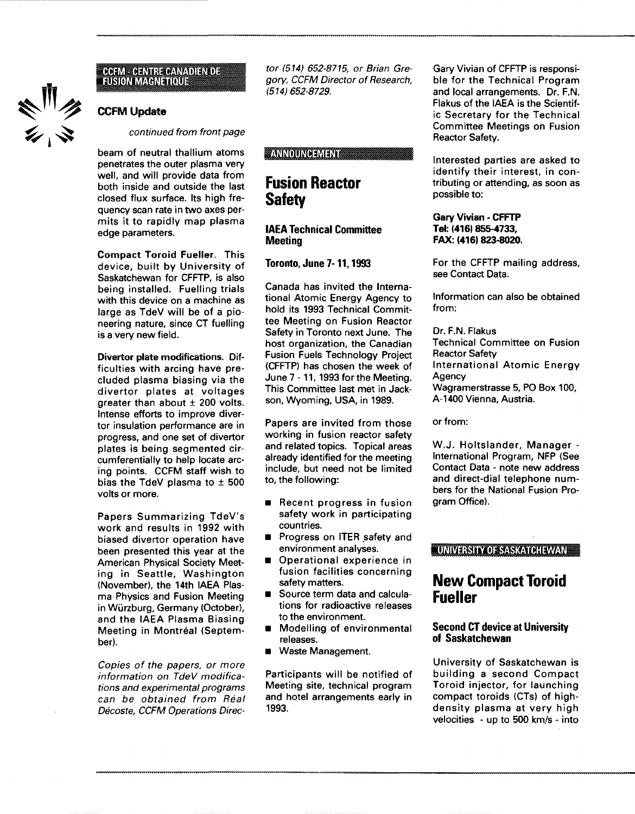

## .<br>CCFM - CENTRE CANADIEN DE<br>FUSION MAGNETIQUE

### **CCFM Update**

continued from front page

beam of neutral thallium atoms penetrates the outer plasma very well, and will provide data from both inside and outside the last closed flux surface. Its high frequency scan rate in two axes permits it to rapidly map plasma edge parameters.

Compact Toroid Fueller. This device, built by University of Saskatchewan for CFFTP, is also being installed. Fuelling trials with this device on a machine as large as TdeV will be of a pioneering nature, since CT fuelling is a very new field.

Divertor plate modifications. Difficulties with arcing have precluded plasma biasing via the divertor plates at voltages greater than about  $\pm$  200 volts. Intense efforts to improve divertor insulation performance are in progress, and one set of divertor plates is being segmented circumferentially to help locate arcing points. CCFM staff wish to bias the TdeV plasma to  $\pm$  500 volts or more.

Papers Summarizing TdeV's work and results in 1992 with biased divertor operation have been presented this year at the American Physical Society Meeting in Seattle, Washington (November), the 14th IAEA Plasma Physics and Fusion Meeting in Wiirzburg, Germany (October), and the IAEA Plasma Biasing Meeting in Montréal (September).

Copies of the papers, or more information on TdeV modifications and experimental programs can be obtained from Réal Décoste, CCFM Operations Director (514) 652-8715, or Brian Gregory, CCFM Director of Research, (514) 652-8729.

#### ANNOUNCEMENT

### **Fusion Reactor Safety**

#### **IAEA Technical Committee Meeting**

#### **Toronto, June 7-11,1993**

Canada has invited the International Atomic Energy Agency to hold its 1993 Technical Committee Meeting on Fusion Reactor Safety in Toronto next June. The host organization, the Canadian Fusion Fuels Technology Project (CFFTP) has chosen the week of June 7 -11,1993 for the Meeting. This Committee last met in Jackson, Wyoming, USA, in 1989.

Papers are invited from those working in fusion reactor safety and related topics. Topical areas already identified for the meeting include, but need not be limited to, the following:

- Recent progress in fusion safety work in participating countries.
- **Progress on ITER safety and** environment analyses.
- Operational experience in fusion facilities concerning safety matters.
- **B** Source term data and calculations for radioactive releases to the environment.
- **Modelling of environmental** releases.
- **Waste Management.**

Participants will be notified of Meeting site, technical program and hotel arrangements early in 1993.

Gary Vivian of CFFTP is responsible for the Technical Program and local arrangements. Dr. F.N. Flakus of the IAEA is the Scientific Secretary for the Technical Committee Meetings on Fusion Reactor Safety.

Interested parties are asked to identify their interest, in contributing or attending, as soon as possible to:

**Gary Vivian** - **CFFTP Tel: (416) 855-4733, FAX: (416) 823-8020.**

For the CFFTP mailing address, see Contact Data.

Information can also be obtained from:

Dr. F.N. Flakus Technical Committee on Fusion Reactor Safety International Atomic Energy Agency Wagramerstrasse 5, PO Box 100, A-1400 Vienna, Austria.

or from:

W.J. Holtslander, Manager - International Program, NFP (See Contact Data - note new address and direct-dial telephone numbers for the National Fusion Program Office).

UNIVERSITY OF SASKATCHEWAN

### **New Compact Toroid Fueller**

#### **Second CT device at University of Saskatchewan**

University of Saskatchewan is building a second Compact Toroid injector, for launching compact toroids (CTs) of highdensity plasma at very high velocities - up to 500 km/s - into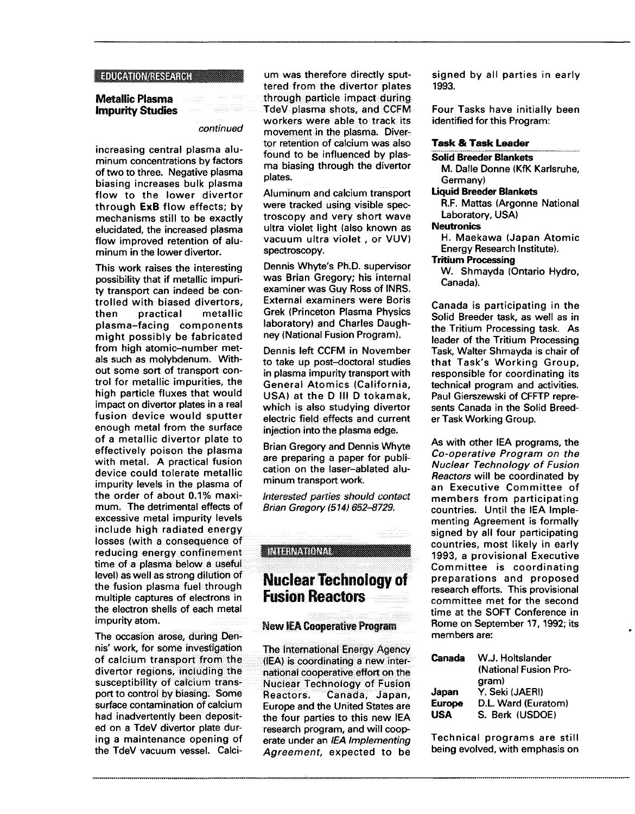#### **EDUCATION/RESEARCHER**

#### **Metallic Plasma Impurity Studies**

#### continued

increasing central plasma aluminum concentrations by factors of two to three. Negative plasma biasing increases bulk plasma flow to the lower divertor through **ExB** flow effects; by mechanisms still to be exactly elucidated, the increased plasma flow improved retention of aluminum in the lower divertor.

This work raises the interesting possibility that if metallic impurity transport can indeed be controlled with biased divertors, then practical metallic plasma-facing components might possibly be fabricated from high atomic-number metals such as molybdenum. Without some sort of transport control for metallic impurities, the high particle fluxes that would impact on divertor plates in a real fusion device would sputter enough metal from the surface of a metallic divertor plate to effectively poison the plasma with metal. A practical fusion device could tolerate metallic impurity levels in the plasma of the order of about 0.1% maximum. The detrimental effects of excessive metal impurity levels include high radiated energy losses (with a consequence of reducing energy confinement time of a plasma below a useful level) as well as strong dilution of the fusion plasma fuel through multiple captures of electrons in the electron shells of each metal impurity atom.

The occasion arose, during Dennis' work, for some investigation of calcium transport from the divertor regions, including the susceptibility of calcium transport to control by biasing. Some surface contamination of calcium had inadvertently been deposited on a TdeV divertor plate during a maintenance opening of the TdeV vacuum vessel. Calci-

um was therefore directly sputtered from the divertor plates through particle impact during TdeV plasma shots, and CCFM workers were able to track its movement in the plasma. Divertor retention of calcium was aiso found to be influenced by plasma biasing through the divertor plates.

Aluminum and calcium transport were tracked using visible spectroscopy and very short wave ultra violet light (also known as vacuum ultra violet , or VUV) spectroscopy.

Dennis Whyte's Ph.D. supervisor was Brian Gregory; his internal examiner was Guy Ross of INRS. External examiners were Boris Grek (Princeton Plasma Physics laboratory) and Charles Daughney (National Fusion Program).

Dennis left CCFM in November to take up post-doctoral studies in plasma impurity transport with General Atomics (California, USA) at the D III D tokamak, which is also studying divertor electric field effects and current injection into the plasma edge.

Brian Gregory and Dennis Whyte are preparing a paper for publication on the laser-ablated aluminum transport work.

Interested parties should contact Brian Gregory (514) 652-8729.

#### **ENGINATORI**

### **Nuclear Technology of Fusion Reactors**

#### **New IEA Cooperative Program**

The international Energy Agency (IEA) is coordinating a new international cooperative effort on the Nuclear Technology of Fusion Reactors. Canada, Japan, Europe and the United States are the four parties to this new IEA research program, and will cooperate under an IEA Implementing Agreement, expected to be signed by all parties in early 1993.

Four Tasks have initially been identified for this Program:

#### **Task & Task Leader**

#### **Solid Breeder Blankets**

M. Dalle Donne (KfK Karlsruhe, Germany)

#### **Liquid Breeder Blankets**

R.F. Mattas (Argonne National Laboratory, USA)

#### **Neutronics**

H. Maekawa (Japan Atomic Energy Research Institute).

#### **Tritium Processing**

W. Shmayda (Ontario Hydro, Canada).

Canada is participating in the Solid Breeder task, as well as in the Tritium Processing task. As leader of the Tritium Processing Task, Walter Shmayda is chair of that Task's Working Group, responsible for coordinating its technical program and activities. Paul Gierszewski of CFFTP represents Canada in the Solid Breeder Task Working Group.

As with other IEA programs, the Co-operative Program on the Nuclear Technology of Fusion Reactors will be coordinated by an Executive Committee of members from participating countries. Until the IEA Implementing Agreement is formally signed by all four participating countries, most likely in early 1993, a provisional Executive Committee is coordinating preparations and proposed research efforts. This provisional committee met for the second time at the SOFT Conference in Rome on September 17, 1992; its members are:

| Canada        | W.J. Holtslander      |  |  |
|---------------|-----------------------|--|--|
|               | (National Fusion Pro- |  |  |
|               | gram)                 |  |  |
| Japan         | Y. Seki (JAERI)       |  |  |
| <b>Europe</b> | D.L. Ward (Euratom)   |  |  |
| <b>USA</b>    | S. Berk (USDOE)       |  |  |

Technical programs are still being evolved, with emphasis on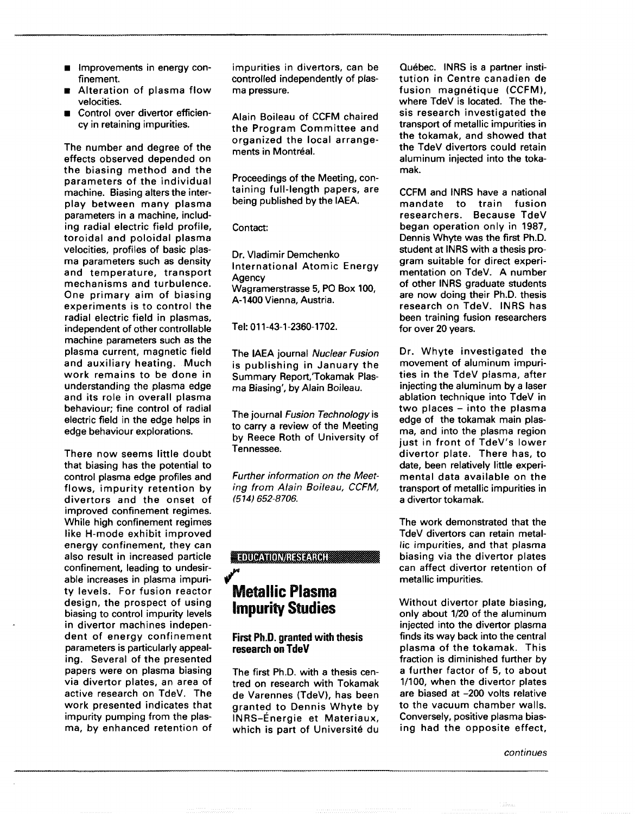- $\blacksquare$  Improvements in energy confinement.
- **E** Alteration of plasma flow velocities.
- **Control over divertor efficien**cy in retaining impurities.

The number and degree of the effects observed depended on the biasing method and the parameters of the individual machine. Biasing alters the interplay between many plasma parameters in a machine, including radial electric field profile, toroidal and poloidal plasma velocities, profiles of basic plasma parameters such as density and temperature, transport mechanisms and turbulence. One primary aim of biasing experiments is to control the radial electric field in plasmas, independent of other controllable machine parameters such as the plasma current, magnetic field and auxiliary heating. Much work remains to be done in understanding the plasma edge and its role in overall plasma behaviour; fine control of radial electric field in the edge helps in edge behaviour explorations.

There now seems little doubt that biasing has the potential to control plasma edge profiles and flows, impurity retention by divertors and the onset of improved confinement regimes. While high confinement regimes like H-mode exhibit improved energy confinement, they can also result in increased particle confinement, leading to undesirable increases in plasma impurity levels. For fusion reactor design, the prospect of using biasing to control impurity levels in divertor machines independent of energy confinement parameters is particularly appealing. Several of the presented papers were on plasma biasing via divertor plates, an area of active research on TdeV. The work presented indicates that impurity pumping from the plasma, by enhanced retention of impurities in divertors, can be controlled independently of plasma pressure.

Alain Boileau of CCFM chaired the Program Committee and organized the local arrangements in Montréal.

Proceedings of the Meeting, containing full-length papers, are being published by the IAEA.

Contact:

Dr. Vladimir Demchenko International Atomic Energy **Agency** Wagramerstrasse 5, PO Box 100, A-1400 Vienna, Austria.

Tel: 011-43-1-2360-1702.

The IAEA journal Nuclear Fusion is publishing in January the Summary Report,Tokamak Plasma Biasing', by Alain Boileau.

The journal Fusion Technology is to carry a review of the Meeting by Reece Roth of University of Tennessee.

Further information on the Meeting from Alain Boileau, CCFM, (514) 652-8706.

### **MEDUCATION/RESEARCH**

## ≅<br>من **Metallic Plasma Impurity Studies**

#### **First Ph.D. granted with thesis research on TdeV**

The first Ph.D. with a thesis centred on research with Tokamak de Varennes (TdeV), has been granted to Dennis Whyte by INRS-Energie et Materiaux, which is part of Université du

Quebec. INRS is a partner institution in Centre canadien de fusion magnétique (CCFM), where TdeV is located. The thesis research investigated the transport of metallic impurities in the tokamak, and showed that the TdeV divertors could retain aluminum injected into the tokamak.

CCFM and INRS have a national mandate to train fusion researchers. Because TdeV began operation only in 1987, Dennis Whyte was the first Ph.D. student at INRS with a thesis program suitable for direct experimentation on TdeV. A number of other INRS graduate students are now doing their Ph.D. thesis research on TdeV. INRS has been training fusion researchers for over 20 years.

Dr. Whyte investigated the movement of aluminum impurities in the TdeV plasma, after injecting the aluminum by a laser ablation technique into TdeV in two places - into the plasma edge of the tokamak main plasma, and into the plasma region just in front of TdeV's lower divertor plate. There has, to date, been relatively little experimental data available on the transport of metallic impurities in a divertor tokamak.

The work demonstrated that the TdeV divertors can retain metallic impurities, and that plasma biasing via the divertor plates can affect divertor retention of metallic impurities.

Without divertor plate biasing, only about 1/20 of the aluminum injected into the divertor plasma finds its way back into the central plasma of the tokamak. This fraction is diminished further by a further factor of 5, to about 1/100, when the divertor plates are biased at -200 volts relative to the vacuum chamber walls. Conversely, positive plasma biasing had the opposite effect,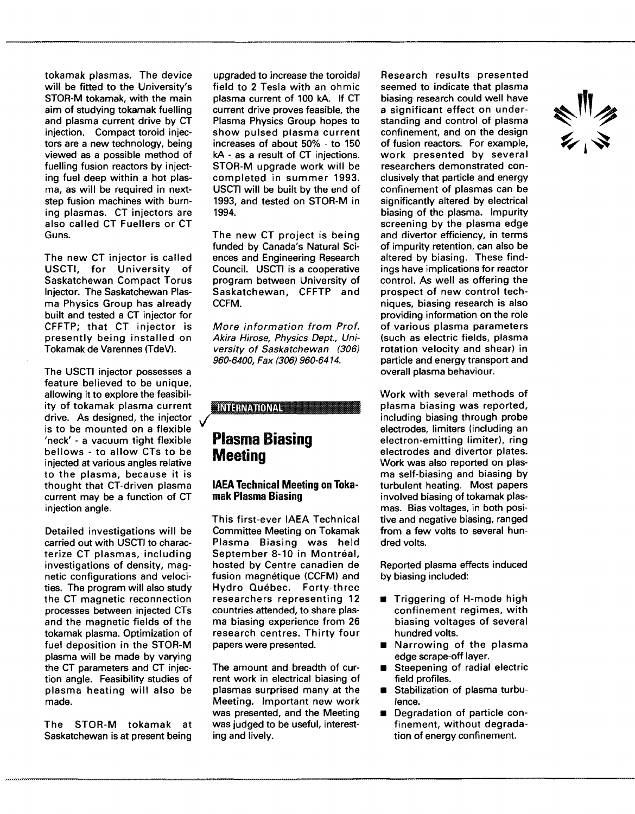tokamak plasmas. The device will be fitted to the University's STOR-M tokamak, with the main aim of studying tokamak fuelling and plasma current drive by CT injection. Compact toroid injectors are a new technology, being viewed as a possible method of fuelling fusion reactors by injecting fuel deep within a hot plasma, as will be required in nextstep fusion machines with burning plasmas. CT injectors are also called CT Fuellers or CT Guns.

The new CT injector is called USCTI, for University of Saskatchewan Compact Torus Injector. The Saskatchewan Plasma Physics Group has already built and tested a CT injector for CFFTP; that CT injector is presently being installed on Tokamak de Varennes (TdeV).

The USCTI injector possesses a feature believed to be unique. allowing it to explore the feasibility of tokamak plasma current drive. As designed, the injector is to be mounted on a flexible 'neck' - a vacuum tight flexible bellows - to allow CTs to be injected at various angles relative to the plasma, because it is thought that CT-driven plasma current may be a function of CT injection angle.

Detailed investigations will be carried out with USCTI to characterize CT plasmas, including investigations of density, magnetic configurations and velocities. The program will also study the CT magnetic reconnection processes between injected CTs and the magnetic fields of the tokamak plasma. Optimization of fuel deposition in the STOR-M plasma will be made by varying the CT parameters and CT injection angle. Feasibility studies of plasma heating will also be made.

The STOR-M tokamak at Saskatchewan is at present being

upgraded to increase the toroidal field to 2 Tesla with an ohmic plasma current of 100 kA. If CT current drive proves feasible, the Plasma Physics Group hopes to show pulsed plasma current increases of about 50% - to 150 kA - as a result of CT injections. STOR-M upgrade work will be completed in summer 1993. USCTI will be built by the end of 1993, and tested on STOR-M in 1994.

The new CT project is being funded by Canada's Natural Sciences and Engineering Research Council. USCTI is a cooperative program between University of Saskatchewan, CFFTP and CCFM.

More information from Prof. Akira Hirose, Physics Dept, University of Saskatchewan (306) 960-6400, Fax (306) 960-6414.

### **ENTERNATIONAL**

### **Plasma Biasing Meeting**

#### **IAEA Technical Meeting on Tokamak Plasma Biasing**

This first-ever IAEA Technical Committee Meeting on Tokamak Plasma Biasing was held September 8-10 in Montréal, hosted by Centre canadien de fusion magnétique (CCFM) and Hydro Québec. Forty-three researchers representing 12 countries attended, to share plasma biasing experience from 26 research centres. Thirty four papers were presented.

The amount and breadth of current work in electrical biasing of plasmas surprised many at the Meeting. Important new work was presented, and the Meeting was judged to be useful, interesting and lively.

Research results presented seemed to indicate that plasma biasing research could well have a significant effect on understanding and control of plasma confinement, and on the design of fusion reactors. For example, work presented by several researchers demonstrated conclusively that particle and energy confinement of plasmas can be significantly altered by electrical biasing of the plasma. Impurity screening by the plasma edge and divertor efficiency, in terms of impurity retention, can also be altered by biasing. These findings have implications for reactor control. As well as offering the prospect of new control techniques, biasing research is also providing information on the role of various plasma parameters (such as electric fields, plasma rotation velocity and shear) in particle and energy transport and overall plasma behaviour.

Work with several methods of plasma biasing was reported, including biasing through probe electrodes, limiters (including an electron-emitting limiter), ring electrodes and divertor plates. Work was also reported on plasma self-biasing and biasing by turbulent heating. Most papers involved biasing of tokamak plasmas. Bias voltages, in both positive and negative biasing, ranged from a few volts to several hundred volts.

Reported plasma effects induced by biasing included:

- **•** Triggering of H-mode high confinement regimes, with biasing voltages of several hundred volts.
- Narrowing of the plasma edge scrape-off layer.
- Steepening of radial electric field profiles.
- **B** Stabilization of plasma turbulence.
- **Degradation of particle con**finement, without degradation of energy confinement.

 $\frac{\sqrt{2}}{2}$